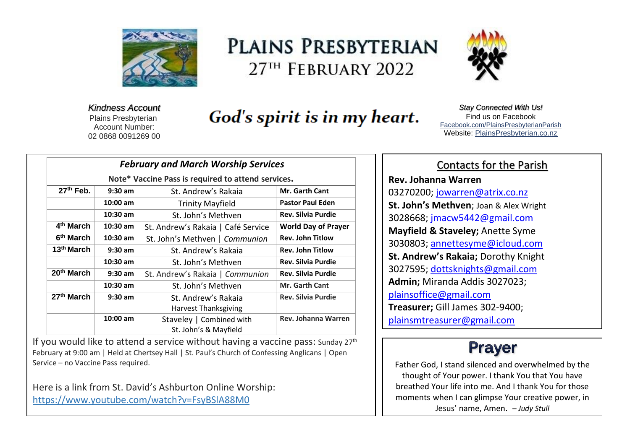

# PLAINS PRESBYTERIAN 27<sup>TH</sup> FEBRUARY 2022



*Kindness Account* Plains Presbyterian Account Number: 02 0868 0091269 00

# God's spirit is in my heart.

*Stay Connected With Us!* Find us on Faceboo[k](file:///C:/Users/PlainsAdmin/Documents/2021PLAINS/ls/2022/Facebook.com/PlainsPresbyterianParish) [Facebook.com/PlainsPresbyterianParish](file:///C:/Users/PlainsAdmin/Documents/2021PLAINS/ls/2022/Facebook.com/PlainsPresbyterianParish) Website: [PlainsPresbyterian.co.nz](http://www.plainspresbyterian.co.nz/)

| <b>February and March Worship Services</b>         |            |                                    |                            |
|----------------------------------------------------|------------|------------------------------------|----------------------------|
| Note* Vaccine Pass is required to attend services. |            |                                    |                            |
| 27th Feb.                                          | $9:30$ am  | St. Andrew's Rakaia                | <b>Mr. Garth Cant</b>      |
|                                                    | $10:00$ am | <b>Trinity Mayfield</b>            | <b>Pastor Paul Eden</b>    |
|                                                    | $10:30$ am | St. John's Methven                 | <b>Rev. Silvia Purdie</b>  |
| 4 <sup>th</sup> March                              | $10:30$ am | St. Andrew's Rakaia   Café Service | <b>World Day of Prayer</b> |
| 6 <sup>th</sup> March                              | $10:30$ am | St. John's Methven   Communion     | <b>Rev. John Titlow</b>    |
| 13 <sup>th</sup> March                             | $9:30$ am  | St. Andrew's Rakaia                | <b>Rev. John Titlow</b>    |
|                                                    | $10:30$ am | St. John's Methyen                 | <b>Rev. Silvia Purdie</b>  |
| 20th March                                         | $9:30$ am  | St. Andrew's Rakaia   Communion    | <b>Rev. Silvia Purdie</b>  |
|                                                    | $10:30$ am | St. John's Methven                 | <b>Mr. Garth Cant</b>      |
| 27 <sup>th</sup> March                             | $9:30$ am  | St. Andrew's Rakaja                | <b>Rev. Silvia Purdie</b>  |
|                                                    |            | <b>Harvest Thanksgiving</b>        |                            |
|                                                    | $10:00$ am | Staveley   Combined with           | Rev. Johanna Warren        |
|                                                    |            | St. John's & Mayfield              |                            |

If you would like to attend a service without having a vaccine pass: Sunday  $27<sup>th</sup>$ February at 9:00 am | Held at Chertsey Hall | St. Paul's Church of Confessing Anglicans | Open Service – no Vaccine Pass required.

Here is a link from St. David's Ashburton Online Worship: <https://www.youtube.com/watch?v=FsyBSlA88M0>

## Contacts for the Parish

**Rev. Johanna Warren** 03270200; [jowarren@atrix.co.nz](mailto:jowarren@atrix.co.nz) **St. John's Methven**; Joan & Alex Wright 3028668; [jmacw5442@gmail.com](mailto:jmacw5442@gmail.com) **Mayfield & Staveley;** Anette Syme 3030803; [annettesyme@icloud.com](mailto:annettesyme@icloud.com) **St. Andrew's Rakaia;** Dorothy Knight 3027595; [dottsknights@gmail.com](mailto:dottsknights@gmail.com) **Admin;** Miranda Addis 3027023; [plainsoffice@gmail.com](mailto:plainsoffice@gmail.com) **Treasurer;** Gill James 302-9400; [plainsmtreasurer@gmail.com](mailto:plainsmtreasurer@gmail.com)

# **Prayer**

Father God, I stand silenced and overwhelmed by the thought of Your power. I thank You that You have breathed Your life into me. And I thank You for those moments when I can glimpse Your creative power, in Jesus' name, Amen. *– Judy Stull*